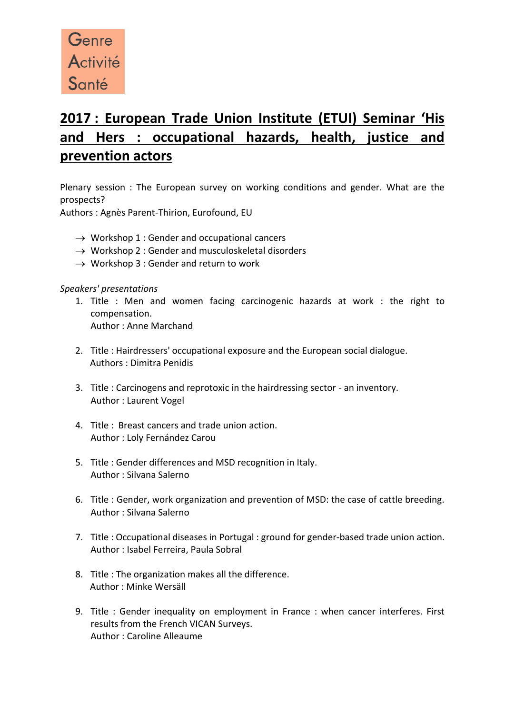

## **2017 : European Trade Union Institute (ETUI) Seminar 'His and Hers : occupational hazards, health, justice and prevention actors**

Plenary session : The European survey on working conditions and gender. What are the prospects?

Authors : Agnès Parent-Thirion, Eurofound, EU

- $\rightarrow$  Workshop 1 : Gender and occupational cancers
- $\rightarrow$  Workshop 2 : Gender and musculoskeletal disorders
- $\rightarrow$  Workshop 3 : Gender and return to work

## *Speakers' presentations*

- 1. Title : Men and women facing carcinogenic hazards at work : the right to compensation. Author : Anne Marchand
- 2. Title : Hairdressers' occupational exposure and the European social dialogue. Authors : Dimitra Penidis
- 3. Title : Carcinogens and reprotoxic in the hairdressing sector an inventory. Author : Laurent Vogel
- 4. Title : Breast cancers and trade union action. Author : Loly Fernández Carou
- 5. Title : Gender differences and MSD recognition in Italy. Author : Silvana Salerno
- 6. Title : Gender, work organization and prevention of MSD: the case of cattle breeding. Author : Silvana Salerno
- 7. Title : Occupational diseases in Portugal : ground for gender-based trade union action. Author : Isabel Ferreira, Paula Sobral
- 8. Title : The organization makes all the difference. Author : Minke Wersäll
- 9. Title : Gender inequality on employment in France : when cancer interferes. First results from the French VICAN Surveys. Author : Caroline Alleaume